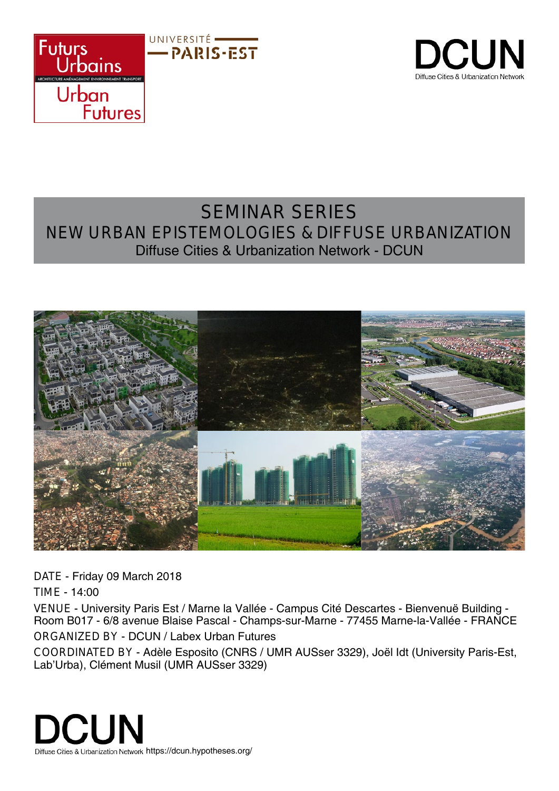



## SEMINAR SERIES NEW URBAN EPISTEMOLOGIES & DIFFUSE URBANIZATION Diffuse Cities & Urbanization Network - DCUN



DATE - Friday 09 March 2018

TIME - 14:00

VENUE - University Paris Est / Marne la Vallée - Campus Cité Descartes - Bienvenuë Building - Room B017 - 6/8 avenue Blaise Pascal - Champs-sur-Marne - 77455 Marne-la-Vallée - FRANCE ORGANIZED BY - DCUN / Labex Urban Futures

COORDINATED BY - Adèle Esposito (CNRS / UMR AUSser 3329), Joël Idt (University Paris-Est, Lab'Urba), Clément Musil (UMR AUSser 3329)

**DCUN** Diffuse Cities & Urbanization Network https://dcun.hypotheses.org/